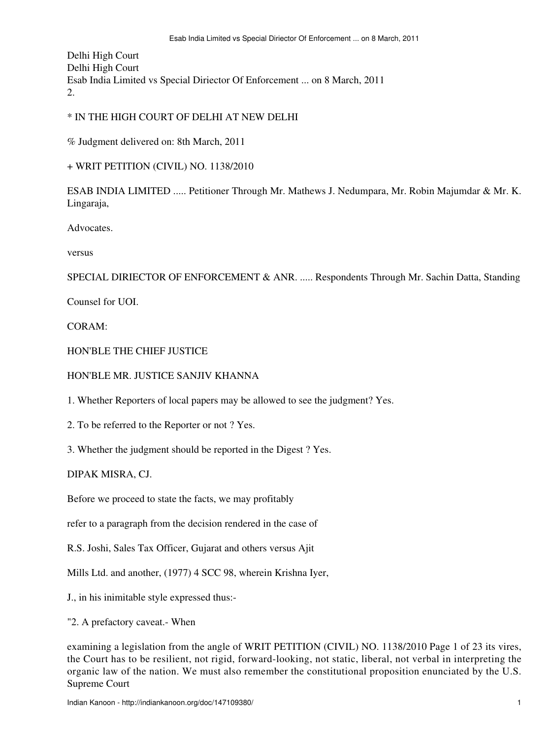Delhi High Court Delhi High Court Esab India Limited vs Special Diriector Of Enforcement ... on 8 March, 2011 2.

## \* IN THE HIGH COURT OF DELHI AT NEW DELHI

% Judgment delivered on: 8th March, 2011

+ WRIT PETITION (CIVIL) NO. 1138/2010

ESAB INDIA LIMITED ..... Petitioner Through Mr. Mathews J. Nedumpara, Mr. Robin Majumdar & Mr. K. Lingaraja,

**Advocates** 

versus

SPECIAL DIRIECTOR OF ENFORCEMENT & ANR. ..... Respondents Through Mr. Sachin Datta, Standing

Counsel for UOI.

CORAM:

HON'BLE THE CHIEF JUSTICE

HON'BLE MR. JUSTICE SANJIV KHANNA

1. Whether Reporters of local papers may be allowed to see the judgment? Yes.

2. To be referred to the Reporter or not ? Yes.

3. Whether the judgment should be reported in the Digest ? Yes.

DIPAK MISRA, CJ.

Before we proceed to state the facts, we may profitably

refer to a paragraph from the decision rendered in the case of

R.S. Joshi, Sales Tax Officer, Gujarat and others versus Ajit

Mills Ltd. and another, (1977) 4 SCC 98, wherein Krishna Iyer,

J., in his inimitable style expressed thus:-

"2. A prefactory caveat.- When

examining a legislation from the angle of WRIT PETITION (CIVIL) NO. 1138/2010 Page 1 of 23 its vires, the Court has to be resilient, not rigid, forward-looking, not static, liberal, not verbal in interpreting the organic law of the nation. We must also remember the constitutional proposition enunciated by the U.S. Supreme Court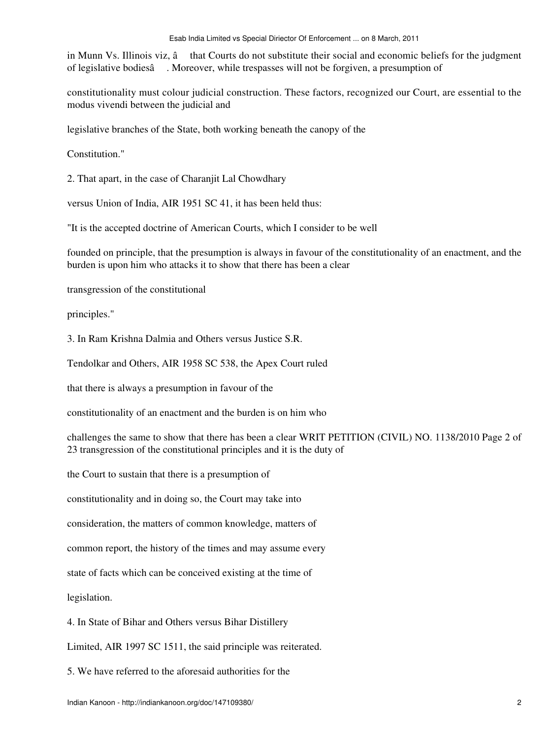in Munn Vs. Illinois viz,  $\hat{a}$  that Courts do not substitute their social and economic beliefs for the judgment of legislative bodiesâ. Moreover, while trespasses will not be forgiven, a presumption of

constitutionality must colour judicial construction. These factors, recognized our Court, are essential to the modus vivendi between the judicial and

legislative branches of the State, both working beneath the canopy of the

Constitution."

2. That apart, in the case of Charanjit Lal Chowdhary

versus Union of India, AIR 1951 SC 41, it has been held thus:

"It is the accepted doctrine of American Courts, which I consider to be well

founded on principle, that the presumption is always in favour of the constitutionality of an enactment, and the burden is upon him who attacks it to show that there has been a clear

transgression of the constitutional

principles."

3. In Ram Krishna Dalmia and Others versus Justice S.R.

Tendolkar and Others, AIR 1958 SC 538, the Apex Court ruled

that there is always a presumption in favour of the

constitutionality of an enactment and the burden is on him who

challenges the same to show that there has been a clear WRIT PETITION (CIVIL) NO. 1138/2010 Page 2 of 23 transgression of the constitutional principles and it is the duty of

the Court to sustain that there is a presumption of

constitutionality and in doing so, the Court may take into

consideration, the matters of common knowledge, matters of

common report, the history of the times and may assume every

state of facts which can be conceived existing at the time of

legislation.

4. In State of Bihar and Others versus Bihar Distillery

Limited, AIR 1997 SC 1511, the said principle was reiterated.

5. We have referred to the aforesaid authorities for the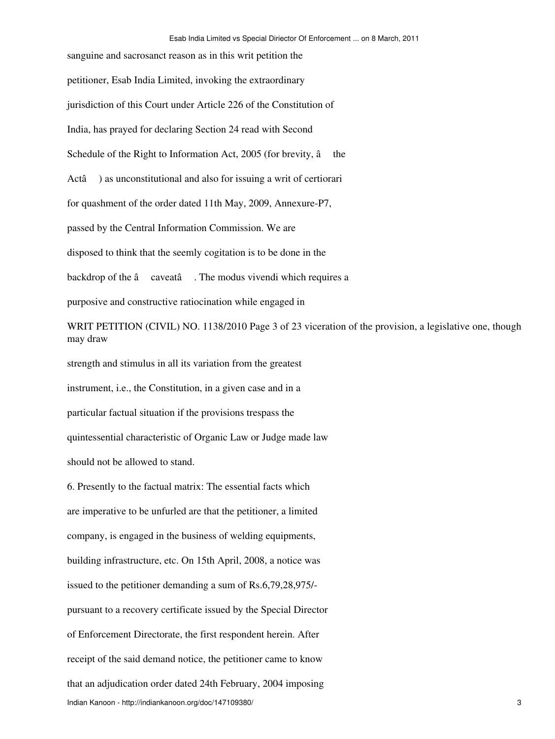sanguine and sacrosanct reason as in this writ petition the petitioner, Esab India Limited, invoking the extraordinary jurisdiction of this Court under Article 226 of the Constitution of India, has prayed for declaring Section 24 read with Second Schedule of the Right to Information Act,  $2005$  (for brevity,  $\hat{a}$  the Actâ) as unconstitutional and also for issuing a writ of certiorari for quashment of the order dated 11th May, 2009, Annexure-P7, passed by the Central Information Commission. We are disposed to think that the seemly cogitation is to be done in the backdrop of the â caveatâ. The modus vivendi which requires a purposive and constructive ratiocination while engaged in

WRIT PETITION (CIVIL) NO. 1138/2010 Page 3 of 23 viceration of the provision, a legislative one, though may draw

strength and stimulus in all its variation from the greatest instrument, i.e., the Constitution, in a given case and in a particular factual situation if the provisions trespass the quintessential characteristic of Organic Law or Judge made law

should not be allowed to stand.

6. Presently to the factual matrix: The essential facts which are imperative to be unfurled are that the petitioner, a limited company, is engaged in the business of welding equipments, building infrastructure, etc. On 15th April, 2008, a notice was issued to the petitioner demanding a sum of Rs.6,79,28,975/ pursuant to a recovery certificate issued by the Special Director of Enforcement Directorate, the first respondent herein. After receipt of the said demand notice, the petitioner came to know that an adjudication order dated 24th February, 2004 imposing Indian Kanoon - http://indiankanoon.org/doc/147109380/ 3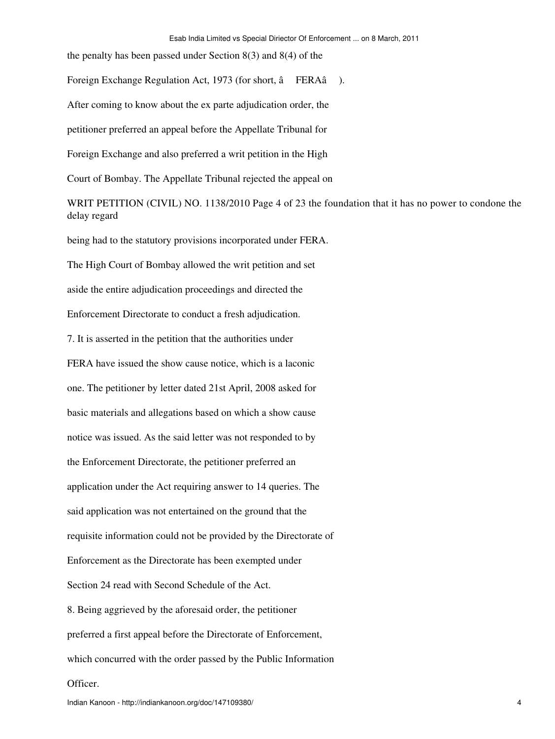the penalty has been passed under Section 8(3) and 8(4) of the

Foreign Exchange Regulation Act, 1973 (for short, â FERAâ).

After coming to know about the ex parte adjudication order, the

petitioner preferred an appeal before the Appellate Tribunal for

Foreign Exchange and also preferred a writ petition in the High

Court of Bombay. The Appellate Tribunal rejected the appeal on

WRIT PETITION (CIVIL) NO. 1138/2010 Page 4 of 23 the foundation that it has no power to condone the delay regard

being had to the statutory provisions incorporated under FERA.

The High Court of Bombay allowed the writ petition and set

aside the entire adjudication proceedings and directed the

Enforcement Directorate to conduct a fresh adjudication.

7. It is asserted in the petition that the authorities under

FERA have issued the show cause notice, which is a laconic one. The petitioner by letter dated 21st April, 2008 asked for basic materials and allegations based on which a show cause notice was issued. As the said letter was not responded to by the Enforcement Directorate, the petitioner preferred an application under the Act requiring answer to 14 queries. The said application was not entertained on the ground that the requisite information could not be provided by the Directorate of Enforcement as the Directorate has been exempted under Section 24 read with Second Schedule of the Act. 8. Being aggrieved by the aforesaid order, the petitioner preferred a first appeal before the Directorate of Enforcement, which concurred with the order passed by the Public Information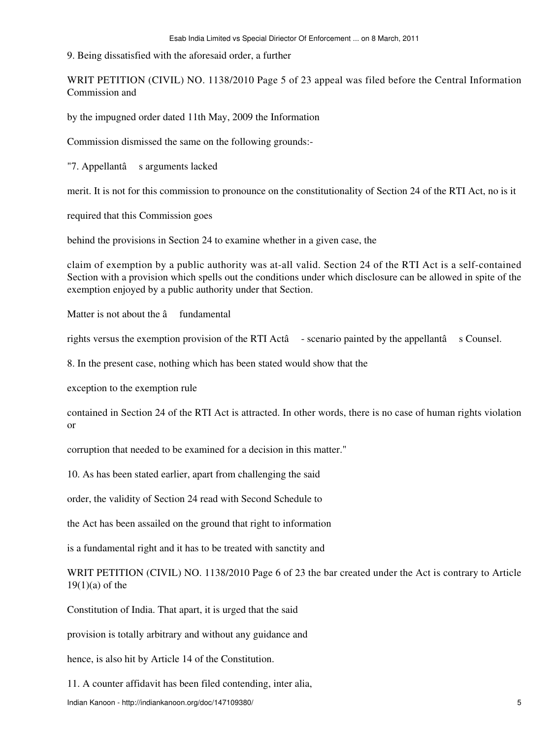9. Being dissatisfied with the aforesaid order, a further

WRIT PETITION (CIVIL) NO. 1138/2010 Page 5 of 23 appeal was filed before the Central Information Commission and

by the impugned order dated 11th May, 2009 the Information

Commission dismissed the same on the following grounds:-

"7. Appellantâ s arguments lacked

merit. It is not for this commission to pronounce on the constitutionality of Section 24 of the RTI Act, no is it

required that this Commission goes

behind the provisions in Section 24 to examine whether in a given case, the

claim of exemption by a public authority was at-all valid. Section 24 of the RTI Act is a self-contained Section with a provision which spells out the conditions under which disclosure can be allowed in spite of the exemption enjoyed by a public authority under that Section.

Matter is not about the  $\hat{a}$  fundamental

rights versus the exemption provision of the RTI Actâ - scenario painted by the appellantâ s Counsel.

8. In the present case, nothing which has been stated would show that the

exception to the exemption rule

contained in Section 24 of the RTI Act is attracted. In other words, there is no case of human rights violation or

corruption that needed to be examined for a decision in this matter."

10. As has been stated earlier, apart from challenging the said

order, the validity of Section 24 read with Second Schedule to

the Act has been assailed on the ground that right to information

is a fundamental right and it has to be treated with sanctity and

WRIT PETITION (CIVIL) NO. 1138/2010 Page 6 of 23 the bar created under the Act is contrary to Article  $19(1)(a)$  of the

Constitution of India. That apart, it is urged that the said

provision is totally arbitrary and without any guidance and

hence, is also hit by Article 14 of the Constitution.

11. A counter affidavit has been filed contending, inter alia,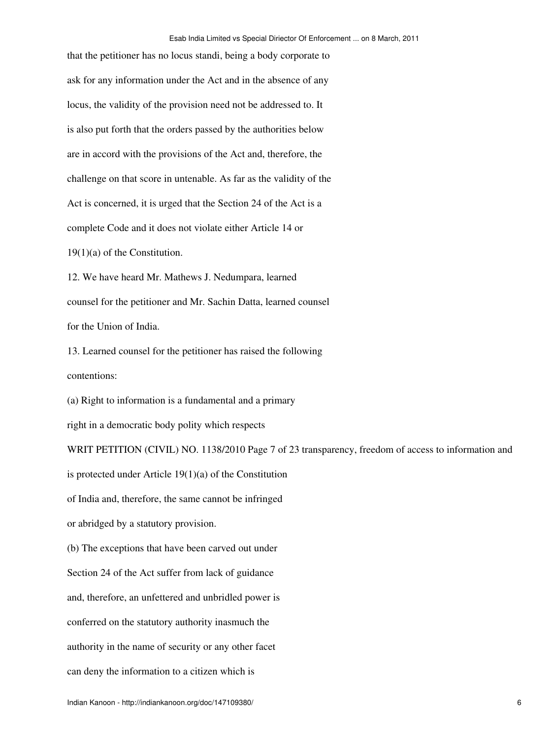that the petitioner has no locus standi, being a body corporate to ask for any information under the Act and in the absence of any locus, the validity of the provision need not be addressed to. It is also put forth that the orders passed by the authorities below are in accord with the provisions of the Act and, therefore, the challenge on that score in untenable. As far as the validity of the Act is concerned, it is urged that the Section 24 of the Act is a complete Code and it does not violate either Article 14 or 19(1)(a) of the Constitution.

12. We have heard Mr. Mathews J. Nedumpara, learned counsel for the petitioner and Mr. Sachin Datta, learned counsel for the Union of India.

13. Learned counsel for the petitioner has raised the following contentions:

(a) Right to information is a fundamental and a primary

right in a democratic body polity which respects

WRIT PETITION (CIVIL) NO. 1138/2010 Page 7 of 23 transparency, freedom of access to information and is protected under Article 19(1)(a) of the Constitution of India and, therefore, the same cannot be infringed or abridged by a statutory provision. (b) The exceptions that have been carved out under Section 24 of the Act suffer from lack of guidance and, therefore, an unfettered and unbridled power is conferred on the statutory authority inasmuch the authority in the name of security or any other facet

can deny the information to a citizen which is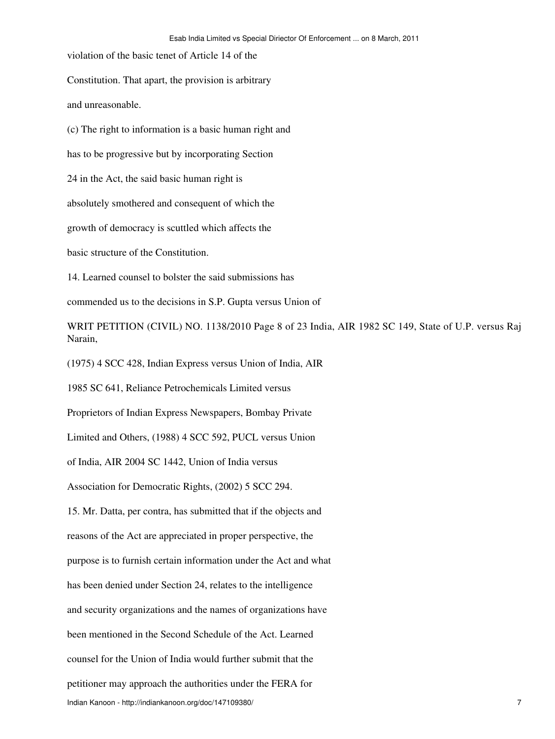violation of the basic tenet of Article 14 of the

Constitution. That apart, the provision is arbitrary

and unreasonable.

(c) The right to information is a basic human right and

has to be progressive but by incorporating Section

24 in the Act, the said basic human right is

absolutely smothered and consequent of which the

growth of democracy is scuttled which affects the

basic structure of the Constitution.

14. Learned counsel to bolster the said submissions has

commended us to the decisions in S.P. Gupta versus Union of

WRIT PETITION (CIVIL) NO. 1138/2010 Page 8 of 23 India, AIR 1982 SC 149, State of U.P. versus Raj Narain,

(1975) 4 SCC 428, Indian Express versus Union of India, AIR

1985 SC 641, Reliance Petrochemicals Limited versus

Proprietors of Indian Express Newspapers, Bombay Private

Limited and Others, (1988) 4 SCC 592, PUCL versus Union

of India, AIR 2004 SC 1442, Union of India versus

Association for Democratic Rights, (2002) 5 SCC 294.

15. Mr. Datta, per contra, has submitted that if the objects and reasons of the Act are appreciated in proper perspective, the purpose is to furnish certain information under the Act and what has been denied under Section 24, relates to the intelligence and security organizations and the names of organizations have been mentioned in the Second Schedule of the Act. Learned counsel for the Union of India would further submit that the petitioner may approach the authorities under the FERA for Indian Kanoon - http://indiankanoon.org/doc/147109380/ 7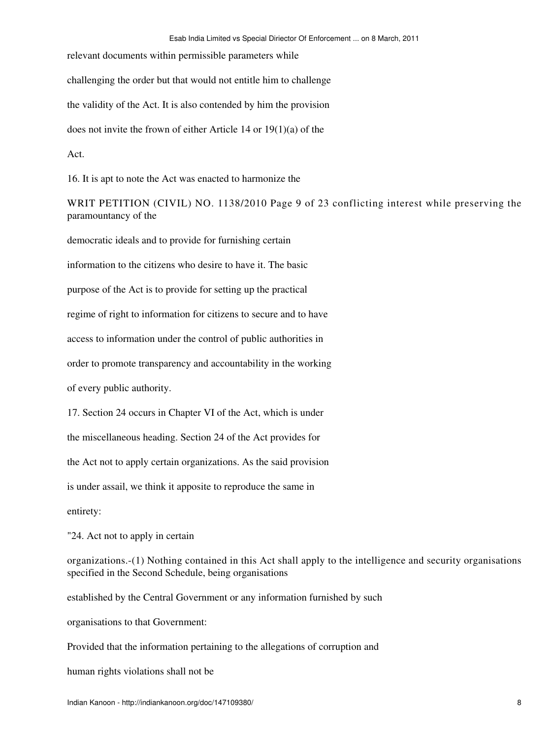relevant documents within permissible parameters while

challenging the order but that would not entitle him to challenge

the validity of the Act. It is also contended by him the provision

does not invite the frown of either Article 14 or 19(1)(a) of the

Act.

16. It is apt to note the Act was enacted to harmonize the

WRIT PETITION (CIVIL) NO. 1138/2010 Page 9 of 23 conflicting interest while preserving the paramountancy of the

democratic ideals and to provide for furnishing certain

information to the citizens who desire to have it. The basic

purpose of the Act is to provide for setting up the practical

regime of right to information for citizens to secure and to have

access to information under the control of public authorities in

order to promote transparency and accountability in the working

of every public authority.

17. Section 24 occurs in Chapter VI of the Act, which is under

the miscellaneous heading. Section 24 of the Act provides for

the Act not to apply certain organizations. As the said provision

is under assail, we think it apposite to reproduce the same in

entirety:

"24. Act not to apply in certain

organizations.-(1) Nothing contained in this Act shall apply to the intelligence and security organisations specified in the Second Schedule, being organisations

established by the Central Government or any information furnished by such

organisations to that Government:

Provided that the information pertaining to the allegations of corruption and

human rights violations shall not be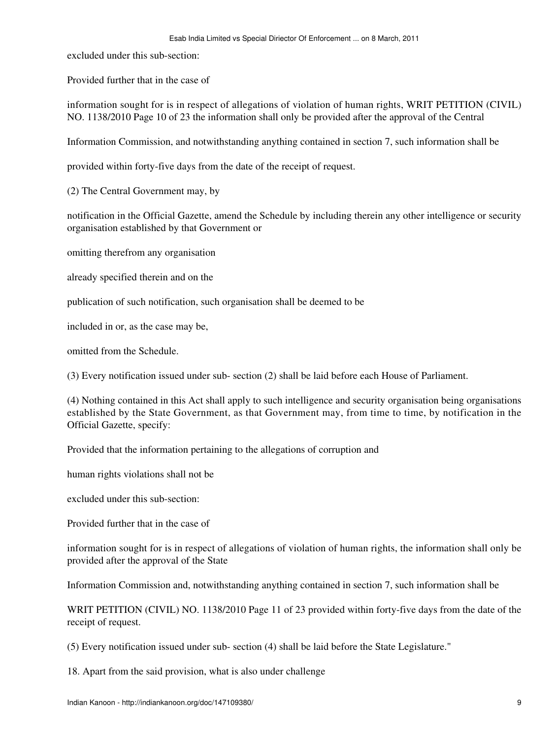excluded under this sub-section:

Provided further that in the case of

information sought for is in respect of allegations of violation of human rights, WRIT PETITION (CIVIL) NO. 1138/2010 Page 10 of 23 the information shall only be provided after the approval of the Central

Information Commission, and notwithstanding anything contained in section 7, such information shall be

provided within forty-five days from the date of the receipt of request.

(2) The Central Government may, by

notification in the Official Gazette, amend the Schedule by including therein any other intelligence or security organisation established by that Government or

omitting therefrom any organisation

already specified therein and on the

publication of such notification, such organisation shall be deemed to be

included in or, as the case may be,

omitted from the Schedule.

(3) Every notification issued under sub- section (2) shall be laid before each House of Parliament.

(4) Nothing contained in this Act shall apply to such intelligence and security organisation being organisations established by the State Government, as that Government may, from time to time, by notification in the Official Gazette, specify:

Provided that the information pertaining to the allegations of corruption and

human rights violations shall not be

excluded under this sub-section:

Provided further that in the case of

information sought for is in respect of allegations of violation of human rights, the information shall only be provided after the approval of the State

Information Commission and, notwithstanding anything contained in section 7, such information shall be

WRIT PETITION (CIVIL) NO. 1138/2010 Page 11 of 23 provided within forty-five days from the date of the receipt of request.

(5) Every notification issued under sub- section (4) shall be laid before the State Legislature."

18. Apart from the said provision, what is also under challenge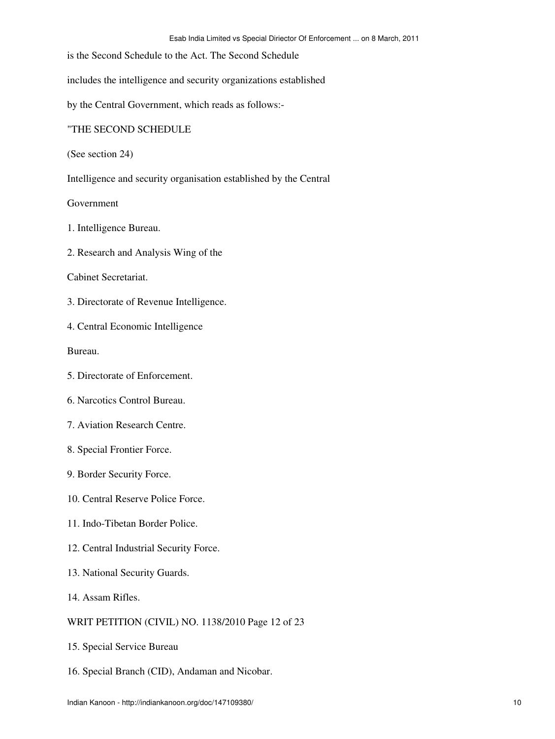is the Second Schedule to the Act. The Second Schedule

includes the intelligence and security organizations established

by the Central Government, which reads as follows:-

## "THE SECOND SCHEDULE

(See section 24)

Intelligence and security organisation established by the Central

Government

- 1. Intelligence Bureau.
- 2. Research and Analysis Wing of the

## Cabinet Secretariat.

3. Directorate of Revenue Intelligence.

4. Central Economic Intelligence

Bureau.

- 5. Directorate of Enforcement.
- 6. Narcotics Control Bureau.
- 7. Aviation Research Centre.
- 8. Special Frontier Force.
- 9. Border Security Force.
- 10. Central Reserve Police Force.
- 11. Indo-Tibetan Border Police.
- 12. Central Industrial Security Force.
- 13. National Security Guards.
- 14. Assam Rifles.

## WRIT PETITION (CIVIL) NO. 1138/2010 Page 12 of 23

- 15. Special Service Bureau
- 16. Special Branch (CID), Andaman and Nicobar.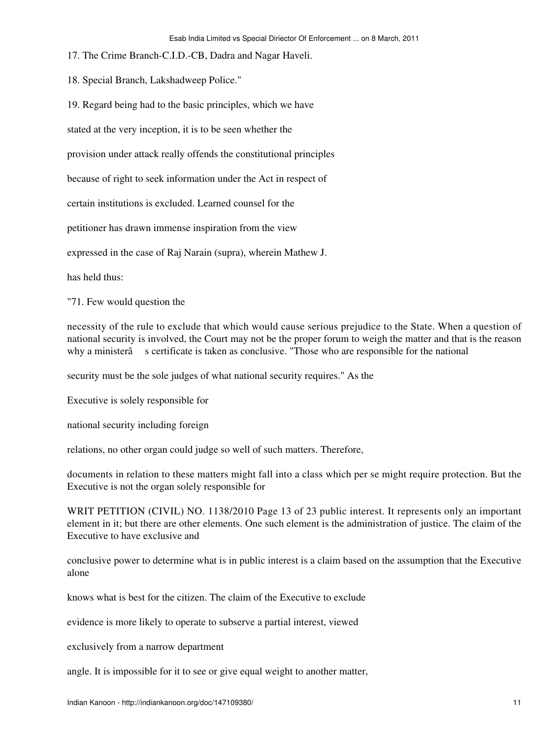- 17. The Crime Branch-C.I.D.-CB, Dadra and Nagar Haveli.
- 18. Special Branch, Lakshadweep Police."
- 19. Regard being had to the basic principles, which we have

stated at the very inception, it is to be seen whether the

provision under attack really offends the constitutional principles

because of right to seek information under the Act in respect of

certain institutions is excluded. Learned counsel for the

petitioner has drawn immense inspiration from the view

expressed in the case of Raj Narain (supra), wherein Mathew J.

has held thus:

"71. Few would question the

necessity of the rule to exclude that which would cause serious prejudice to the State. When a question of national security is involved, the Court may not be the proper forum to weigh the matter and that is the reason why a ministerâ s certificate is taken as conclusive. "Those who are responsible for the national

security must be the sole judges of what national security requires." As the

Executive is solely responsible for

national security including foreign

relations, no other organ could judge so well of such matters. Therefore,

documents in relation to these matters might fall into a class which per se might require protection. But the Executive is not the organ solely responsible for

WRIT PETITION (CIVIL) NO. 1138/2010 Page 13 of 23 public interest. It represents only an important element in it; but there are other elements. One such element is the administration of justice. The claim of the Executive to have exclusive and

conclusive power to determine what is in public interest is a claim based on the assumption that the Executive alone

knows what is best for the citizen. The claim of the Executive to exclude

evidence is more likely to operate to subserve a partial interest, viewed

exclusively from a narrow department

angle. It is impossible for it to see or give equal weight to another matter,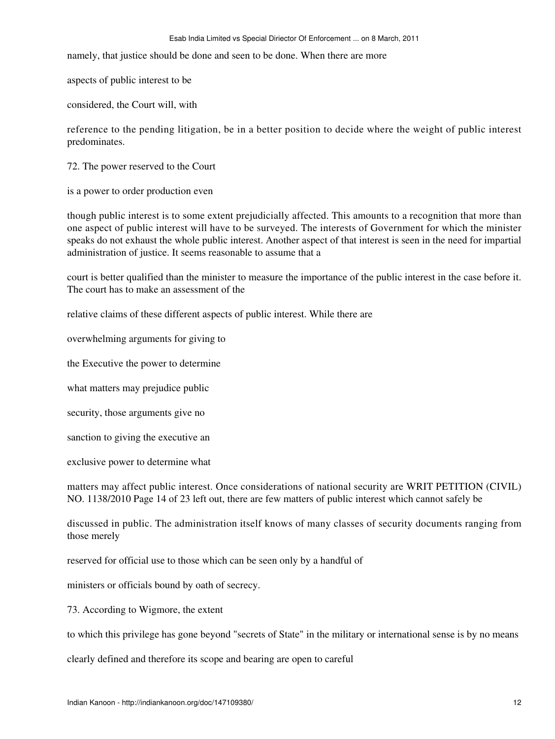namely, that justice should be done and seen to be done. When there are more

aspects of public interest to be

considered, the Court will, with

reference to the pending litigation, be in a better position to decide where the weight of public interest predominates.

72. The power reserved to the Court

is a power to order production even

though public interest is to some extent prejudicially affected. This amounts to a recognition that more than one aspect of public interest will have to be surveyed. The interests of Government for which the minister speaks do not exhaust the whole public interest. Another aspect of that interest is seen in the need for impartial administration of justice. It seems reasonable to assume that a

court is better qualified than the minister to measure the importance of the public interest in the case before it. The court has to make an assessment of the

relative claims of these different aspects of public interest. While there are

overwhelming arguments for giving to

the Executive the power to determine

what matters may prejudice public

security, those arguments give no

sanction to giving the executive an

exclusive power to determine what

matters may affect public interest. Once considerations of national security are WRIT PETITION (CIVIL) NO. 1138/2010 Page 14 of 23 left out, there are few matters of public interest which cannot safely be

discussed in public. The administration itself knows of many classes of security documents ranging from those merely

reserved for official use to those which can be seen only by a handful of

ministers or officials bound by oath of secrecy.

73. According to Wigmore, the extent

to which this privilege has gone beyond "secrets of State" in the military or international sense is by no means

clearly defined and therefore its scope and bearing are open to careful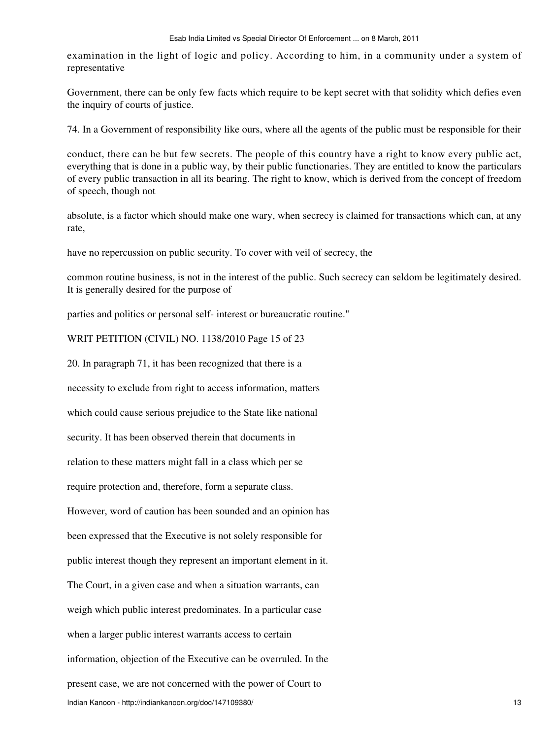examination in the light of logic and policy. According to him, in a community under a system of representative

Government, there can be only few facts which require to be kept secret with that solidity which defies even the inquiry of courts of justice.

74. In a Government of responsibility like ours, where all the agents of the public must be responsible for their

conduct, there can be but few secrets. The people of this country have a right to know every public act, everything that is done in a public way, by their public functionaries. They are entitled to know the particulars of every public transaction in all its bearing. The right to know, which is derived from the concept of freedom of speech, though not

absolute, is a factor which should make one wary, when secrecy is claimed for transactions which can, at any rate,

have no repercussion on public security. To cover with veil of secrecy, the

common routine business, is not in the interest of the public. Such secrecy can seldom be legitimately desired. It is generally desired for the purpose of

parties and politics or personal self- interest or bureaucratic routine."

WRIT PETITION (CIVIL) NO. 1138/2010 Page 15 of 23

20. In paragraph 71, it has been recognized that there is a

necessity to exclude from right to access information, matters

which could cause serious prejudice to the State like national

security. It has been observed therein that documents in

relation to these matters might fall in a class which per se

require protection and, therefore, form a separate class.

However, word of caution has been sounded and an opinion has

been expressed that the Executive is not solely responsible for

public interest though they represent an important element in it.

The Court, in a given case and when a situation warrants, can

weigh which public interest predominates. In a particular case

when a larger public interest warrants access to certain

information, objection of the Executive can be overruled. In the

present case, we are not concerned with the power of Court to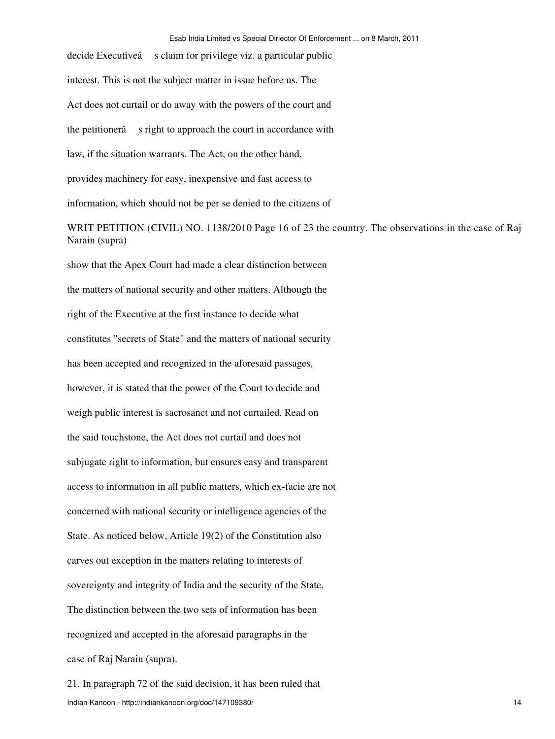decide Executiveâ s claim for privilege viz. a particular public interest. This is not the subject matter in issue before us. The Act does not curtail or do away with the powers of the court and the petitionerâ s right to approach the court in accordance with law, if the situation warrants. The Act, on the other hand, provides machinery for easy, inexpensive and fast access to information, which should not be per se denied to the citizens of WRIT PETITION (CIVIL) NO. 1138/2010 Page 16 of 23 the country. The observations in the case of Raj Narain (supra) show that the Apex Court had made a clear distinction between the matters of national security and other matters. Although the right of the Executive at the first instance to decide what constitutes "secrets of State" and the matters of national security has been accepted and recognized in the aforesaid passages, however, it is stated that the power of the Court to decide and weigh public interest is sacrosanct and not curtailed. Read on the said touchstone, the Act does not curtail and does not subjugate right to information, but ensures easy and transparent access to information in all public matters, which ex-facie are not concerned with national security or intelligence agencies of the State. As noticed below, Article 19(2) of the Constitution also carves out exception in the matters relating to interests of sovereignty and integrity of India and the security of the State. The distinction between the two sets of information has been recognized and accepted in the aforesaid paragraphs in the

case of Raj Narain (supra).

21. In paragraph 72 of the said decision, it has been ruled that Indian Kanoon - http://indiankanoon.org/doc/147109380/ 14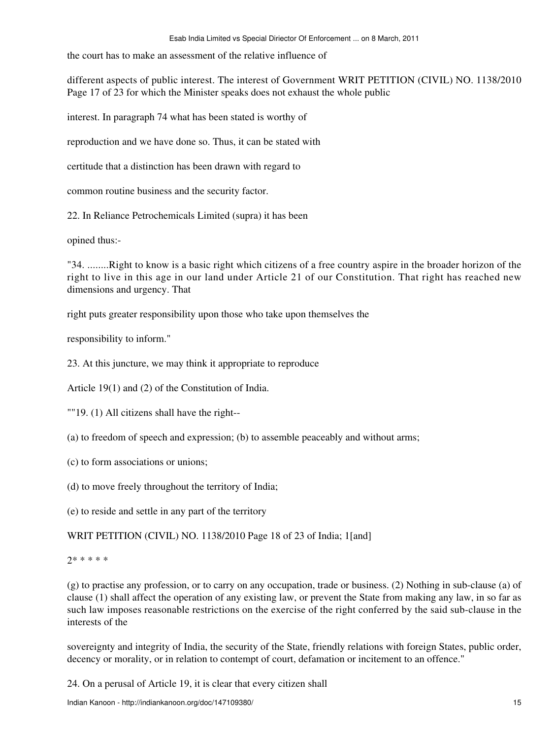the court has to make an assessment of the relative influence of

different aspects of public interest. The interest of Government WRIT PETITION (CIVIL) NO. 1138/2010 Page 17 of 23 for which the Minister speaks does not exhaust the whole public

interest. In paragraph 74 what has been stated is worthy of

reproduction and we have done so. Thus, it can be stated with

certitude that a distinction has been drawn with regard to

common routine business and the security factor.

22. In Reliance Petrochemicals Limited (supra) it has been

opined thus:-

"34. ........Right to know is a basic right which citizens of a free country aspire in the broader horizon of the right to live in this age in our land under Article 21 of our Constitution. That right has reached new dimensions and urgency. That

right puts greater responsibility upon those who take upon themselves the

responsibility to inform."

23. At this juncture, we may think it appropriate to reproduce

Article 19(1) and (2) of the Constitution of India.

""19. (1) All citizens shall have the right--

(a) to freedom of speech and expression; (b) to assemble peaceably and without arms;

(c) to form associations or unions;

(d) to move freely throughout the territory of India;

(e) to reside and settle in any part of the territory

WRIT PETITION (CIVIL) NO. 1138/2010 Page 18 of 23 of India; 1[and]

2\* \* \* \* \*

(g) to practise any profession, or to carry on any occupation, trade or business. (2) Nothing in sub-clause (a) of clause (1) shall affect the operation of any existing law, or prevent the State from making any law, in so far as such law imposes reasonable restrictions on the exercise of the right conferred by the said sub-clause in the interests of the

sovereignty and integrity of India, the security of the State, friendly relations with foreign States, public order, decency or morality, or in relation to contempt of court, defamation or incitement to an offence."

24. On a perusal of Article 19, it is clear that every citizen shall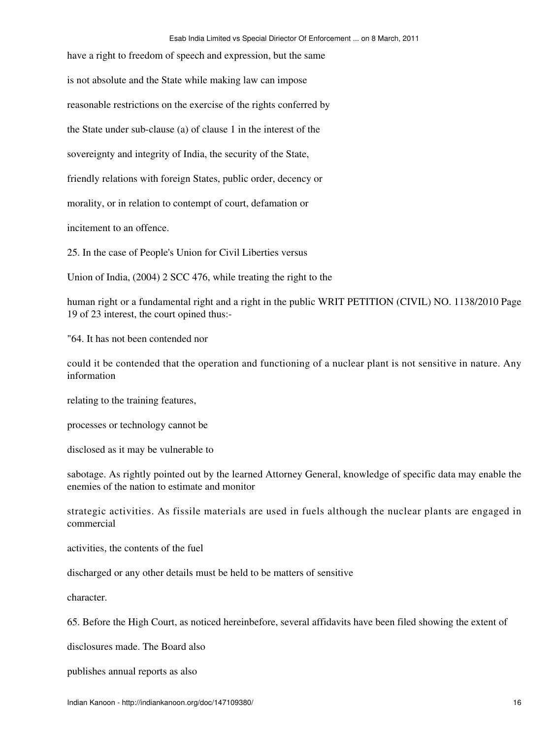have a right to freedom of speech and expression, but the same is not absolute and the State while making law can impose reasonable restrictions on the exercise of the rights conferred by the State under sub-clause (a) of clause 1 in the interest of the sovereignty and integrity of India, the security of the State, friendly relations with foreign States, public order, decency or morality, or in relation to contempt of court, defamation or incitement to an offence.

25. In the case of People's Union for Civil Liberties versus

Union of India, (2004) 2 SCC 476, while treating the right to the

human right or a fundamental right and a right in the public WRIT PETITION (CIVIL) NO. 1138/2010 Page 19 of 23 interest, the court opined thus:-

"64. It has not been contended nor

could it be contended that the operation and functioning of a nuclear plant is not sensitive in nature. Any information

relating to the training features,

processes or technology cannot be

disclosed as it may be vulnerable to

sabotage. As rightly pointed out by the learned Attorney General, knowledge of specific data may enable the enemies of the nation to estimate and monitor

strategic activities. As fissile materials are used in fuels although the nuclear plants are engaged in commercial

activities, the contents of the fuel

discharged or any other details must be held to be matters of sensitive

character.

65. Before the High Court, as noticed hereinbefore, several affidavits have been filed showing the extent of

disclosures made. The Board also

publishes annual reports as also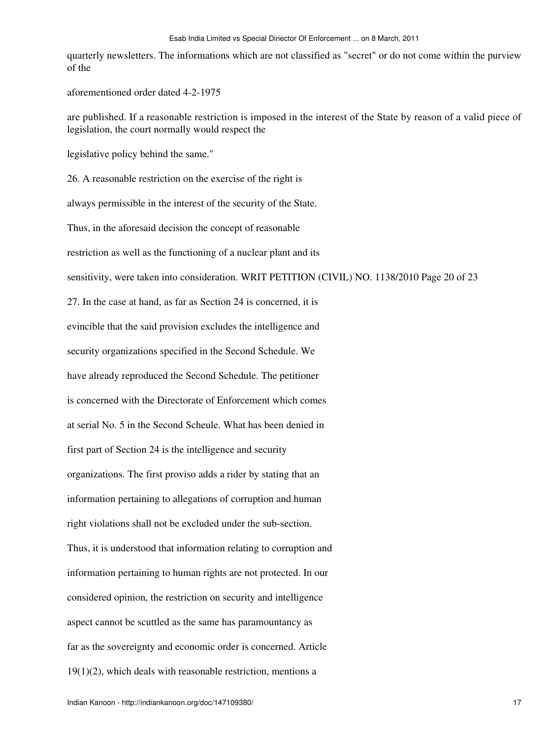quarterly newsletters. The informations which are not classified as "secret" or do not come within the purview of the

aforementioned order dated 4-2-1975

are published. If a reasonable restriction is imposed in the interest of the State by reason of a valid piece of legislation, the court normally would respect the

legislative policy behind the same."

26. A reasonable restriction on the exercise of the right is

always permissible in the interest of the security of the State.

Thus, in the aforesaid decision the concept of reasonable

restriction as well as the functioning of a nuclear plant and its

sensitivity, were taken into consideration. WRIT PETITION (CIVIL) NO. 1138/2010 Page 20 of 23

27. In the case at hand, as far as Section 24 is concerned, it is evincible that the said provision excludes the intelligence and

security organizations specified in the Second Schedule. We

have already reproduced the Second Schedule. The petitioner

is concerned with the Directorate of Enforcement which comes

at serial No. 5 in the Second Scheule. What has been denied in

first part of Section 24 is the intelligence and security

organizations. The first proviso adds a rider by stating that an

information pertaining to allegations of corruption and human

right violations shall not be excluded under the sub-section.

Thus, it is understood that information relating to corruption and information pertaining to human rights are not protected. In our considered opinion, the restriction on security and intelligence aspect cannot be scuttled as the same has paramountancy as far as the sovereignty and economic order is concerned. Article  $19(1)(2)$ , which deals with reasonable restriction, mentions a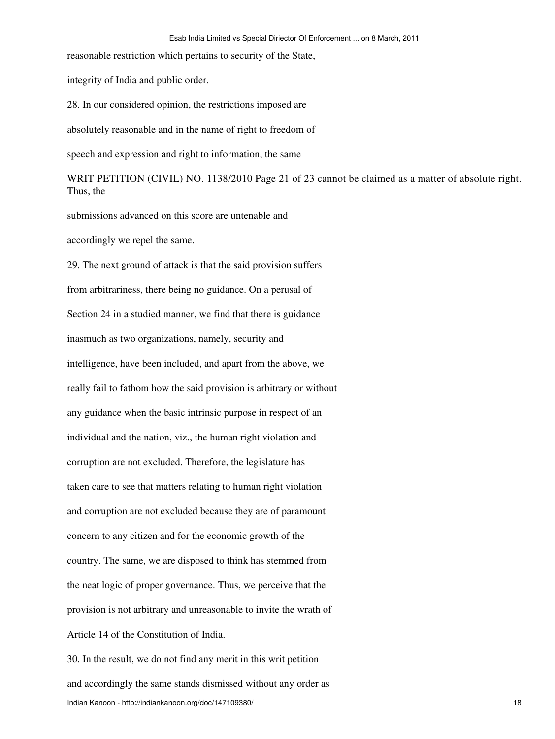reasonable restriction which pertains to security of the State,

integrity of India and public order.

28. In our considered opinion, the restrictions imposed are

absolutely reasonable and in the name of right to freedom of

speech and expression and right to information, the same

WRIT PETITION (CIVIL) NO. 1138/2010 Page 21 of 23 cannot be claimed as a matter of absolute right. Thus, the

submissions advanced on this score are untenable and

accordingly we repel the same.

29. The next ground of attack is that the said provision suffers from arbitrariness, there being no guidance. On a perusal of Section 24 in a studied manner, we find that there is guidance inasmuch as two organizations, namely, security and intelligence, have been included, and apart from the above, we really fail to fathom how the said provision is arbitrary or without any guidance when the basic intrinsic purpose in respect of an individual and the nation, viz., the human right violation and corruption are not excluded. Therefore, the legislature has taken care to see that matters relating to human right violation and corruption are not excluded because they are of paramount concern to any citizen and for the economic growth of the country. The same, we are disposed to think has stemmed from the neat logic of proper governance. Thus, we perceive that the provision is not arbitrary and unreasonable to invite the wrath of Article 14 of the Constitution of India.

30. In the result, we do not find any merit in this writ petition and accordingly the same stands dismissed without any order as Indian Kanoon - http://indiankanoon.org/doc/147109380/ 18